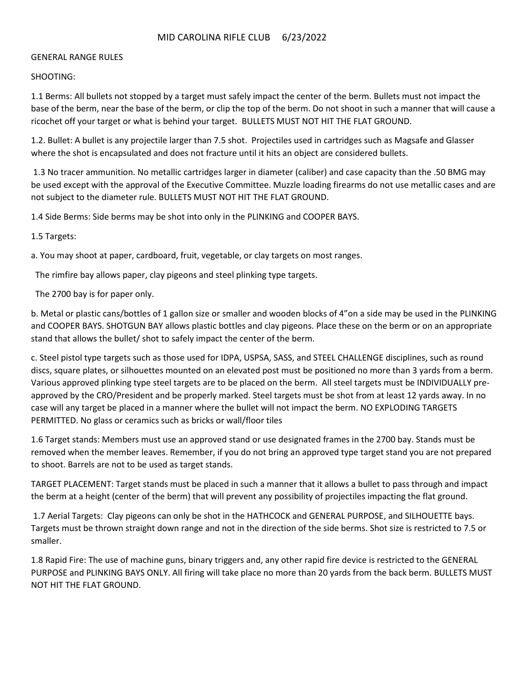# MID CAROLINA RIFLE CLUB 6/23/2022

#### GENERAL RANGE RULES

SHOOTING:

1.1 Berms: All bullets not stopped by a target must safely impact the center of the berm. Bullets must not impact the base of the berm, near the base of the berm, or clip the top of the berm. Do not shoot in such a manner that will cause a ricochet off your target or what is behind your target. BULLETS MUST NOT HIT THE FLAT GROUND.

1.2. Bullet: A bullet is any projectile larger than 7.5 shot. Projectiles used in cartridges such as Magsafe and Glasser where the shot is encapsulated and does not fracture until it hits an object are considered bullets.

1.3 No tracer ammunition. No metallic cartridges larger in diameter (caliber) and case capacity than the .50 BMG may be used except with the approval of the Executive Committee. Muzzle loading firearms do not use metallic cases and are not subject to the diameter rule. BULLETS MUST NOT HIT THE FLAT GROUND.

1.4 Side Berms: Side berms may be shot into only in the PLINKING and COOPER BAYS.

1.5 Targets:

a. You may shoot at paper, cardboard, fruit, vegetable, or clay targets on most ranges.

The rimfire bay allows paper, clay pigeons and steel plinking type targets.

The 2700 bay is for paper only.

b. Metal or plastic cans/bottles of 1 gallon size or smaller and wooden blocks of 4"on a side may be used in the PLINKING and COOPER BAYS. SHOTGUN BAY allows plastic bottles and clay pigeons. Place these on the berm or on an appropriate stand that allows the bullet/ shot to safely impact the center of the berm.

c. Steel pistol type targets such as those used for IDPA, USPSA, SASS, and STEEL CHALLENGE disciplines, such as round discs, square plates, or silhouettes mounted on an elevated post must be positioned no more than 3 yards from a berm. Various approved plinking type steel targets are to be placed on the berm. All steel targets must be INDIVIDUALLY preapproved by the CRO/President and be properly marked. Steel targets must be shot from at least 12 yards away. In no case will any target be placed in a manner where the bullet will not impact the berm. NO EXPLODING TARGETS PERMITTED. No glass or ceramics such as bricks or wall/floor tiles

1.6 Target stands: Members must use an approved stand or use designated frames in the 2700 bay. Stands must be removed when the member leaves. Remember, if you do not bring an approved type target stand you are not prepared to shoot. Barrels are not to be used as target stands.

TARGET PLACEMENT: Target stands must be placed in such a manner that it allows a bullet to pass through and impact the berm at a height (center of the berm) that will prevent any possibility of projectiles impacting the flat ground.

1.7 Aerial Targets: Clay pigeons can only be shot in the HATHCOCK and GENERAL PURPOSE, and SILHOUETTE bays. Targets must be thrown straight down range and not in the direction of the side berms. Shot size is restricted to 7.5 or smaller.

1.8 Rapid Fire: The use of machine guns, binary triggers and, any other rapid fire device is restricted to the GENERAL PURPOSE and PLINKING BAYS ONLY. All firing will take place no more than 20 yards from the back berm. BULLETS MUST NOT HIT THE FLAT GROUND.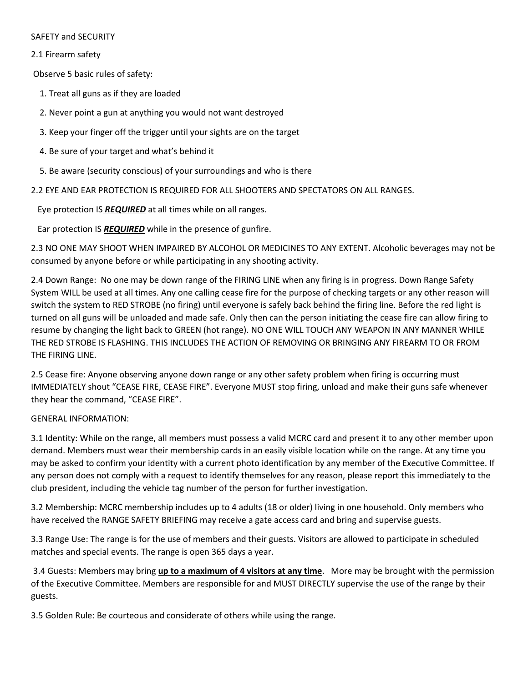## SAFETY and SECURITY

# 2.1 Firearm safety

Observe 5 basic rules of safety:

- 1. Treat all guns as if they are loaded
- 2. Never point a gun at anything you would not want destroyed
- 3. Keep your finger off the trigger until your sights are on the target
- 4. Be sure of your target and what's behind it
- 5. Be aware (security conscious) of your surroundings and who is there

2.2 EYE AND EAR PROTECTION IS REQUIRED FOR ALL SHOOTERS AND SPECTATORS ON ALL RANGES.

Eye protection IS *REQUIRED* at all times while on all ranges.

Ear protection IS *REQUIRED* while in the presence of gunfire.

2.3 NO ONE MAY SHOOT WHEN IMPAIRED BY ALCOHOL OR MEDICINES TO ANY EXTENT. Alcoholic beverages may not be consumed by anyone before or while participating in any shooting activity.

2.4 Down Range: No one may be down range of the FIRING LINE when any firing is in progress. Down Range Safety System WILL be used at all times. Any one calling cease fire for the purpose of checking targets or any other reason will switch the system to RED STROBE (no firing) until everyone is safely back behind the firing line. Before the red light is turned on all guns will be unloaded and made safe. Only then can the person initiating the cease fire can allow firing to resume by changing the light back to GREEN (hot range). NO ONE WILL TOUCH ANY WEAPON IN ANY MANNER WHILE THE RED STROBE IS FLASHING. THIS INCLUDES THE ACTION OF REMOVING OR BRINGING ANY FIREARM TO OR FROM THE FIRING LINE.

2.5 Cease fire: Anyone observing anyone down range or any other safety problem when firing is occurring must IMMEDIATELY shout "CEASE FIRE, CEASE FIRE". Everyone MUST stop firing, unload and make their guns safe whenever they hear the command, "CEASE FIRE".

## GENERAL INFORMATION:

3.1 Identity: While on the range, all members must possess a valid MCRC card and present it to any other member upon demand. Members must wear their membership cards in an easily visible location while on the range. At any time you may be asked to confirm your identity with a current photo identification by any member of the Executive Committee. If any person does not comply with a request to identify themselves for any reason, please report this immediately to the club president, including the vehicle tag number of the person for further investigation.

3.2 Membership: MCRC membership includes up to 4 adults (18 or older) living in one household. Only members who have received the RANGE SAFETY BRIEFING may receive a gate access card and bring and supervise guests.

3.3 Range Use: The range is for the use of members and their guests. Visitors are allowed to participate in scheduled matches and special events. The range is open 365 days a year.

3.4 Guests: Members may bring **up to a maximum of 4 visitors at any time**. More may be brought with the permission of the Executive Committee. Members are responsible for and MUST DIRECTLY supervise the use of the range by their guests.

3.5 Golden Rule: Be courteous and considerate of others while using the range.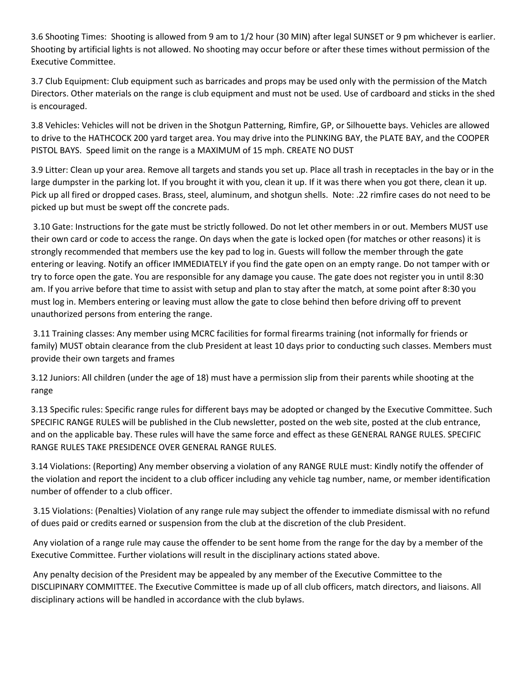3.6 Shooting Times: Shooting is allowed from 9 am to 1/2 hour (30 MIN) after legal SUNSET or 9 pm whichever is earlier. Shooting by artificial lights is not allowed. No shooting may occur before or after these times without permission of the Executive Committee.

3.7 Club Equipment: Club equipment such as barricades and props may be used only with the permission of the Match Directors. Other materials on the range is club equipment and must not be used. Use of cardboard and sticks in the shed is encouraged.

3.8 Vehicles: Vehicles will not be driven in the Shotgun Patterning, Rimfire, GP, or Silhouette bays. Vehicles are allowed to drive to the HATHCOCK 200 yard target area. You may drive into the PLINKING BAY, the PLATE BAY, and the COOPER PISTOL BAYS. Speed limit on the range is a MAXIMUM of 15 mph. CREATE NO DUST

3.9 Litter: Clean up your area. Remove all targets and stands you set up. Place all trash in receptacles in the bay or in the large dumpster in the parking lot. If you brought it with you, clean it up. If it was there when you got there, clean it up. Pick up all fired or dropped cases. Brass, steel, aluminum, and shotgun shells. Note: .22 rimfire cases do not need to be picked up but must be swept off the concrete pads.

3.10 Gate: Instructions for the gate must be strictly followed. Do not let other members in or out. Members MUST use their own card or code to access the range. On days when the gate is locked open (for matches or other reasons) it is strongly recommended that members use the key pad to log in. Guests will follow the member through the gate entering or leaving. Notify an officer IMMEDIATELY if you find the gate open on an empty range. Do not tamper with or try to force open the gate. You are responsible for any damage you cause. The gate does not register you in until 8:30 am. If you arrive before that time to assist with setup and plan to stay after the match, at some point after 8:30 you must log in. Members entering or leaving must allow the gate to close behind then before driving off to prevent unauthorized persons from entering the range.

3.11 Training classes: Any member using MCRC facilities for formal firearms training (not informally for friends or family) MUST obtain clearance from the club President at least 10 days prior to conducting such classes. Members must provide their own targets and frames

3.12 Juniors: All children (under the age of 18) must have a permission slip from their parents while shooting at the range

3.13 Specific rules: Specific range rules for different bays may be adopted or changed by the Executive Committee. Such SPECIFIC RANGE RULES will be published in the Club newsletter, posted on the web site, posted at the club entrance, and on the applicable bay. These rules will have the same force and effect as these GENERAL RANGE RULES. SPECIFIC RANGE RULES TAKE PRESIDENCE OVER GENERAL RANGE RULES.

3.14 Violations: (Reporting) Any member observing a violation of any RANGE RULE must: Kindly notify the offender of the violation and report the incident to a club officer including any vehicle tag number, name, or member identification number of offender to a club officer.

3.15 Violations: (Penalties) Violation of any range rule may subject the offender to immediate dismissal with no refund of dues paid or credits earned or suspension from the club at the discretion of the club President.

Any violation of a range rule may cause the offender to be sent home from the range for the day by a member of the Executive Committee. Further violations will result in the disciplinary actions stated above.

Any penalty decision of the President may be appealed by any member of the Executive Committee to the DISCLIPINARY COMMITTEE. The Executive Committee is made up of all club officers, match directors, and liaisons. All disciplinary actions will be handled in accordance with the club bylaws.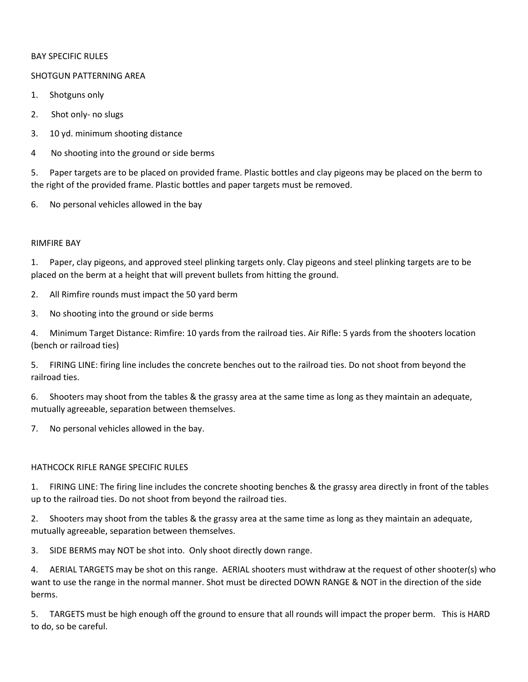#### BAY SPECIFIC RULES

#### SHOTGUN PATTERNING AREA

- 1. Shotguns only
- 2. Shot only- no slugs
- 3. 10 yd. minimum shooting distance
- 4 No shooting into the ground or side berms

5. Paper targets are to be placed on provided frame. Plastic bottles and clay pigeons may be placed on the berm to the right of the provided frame. Plastic bottles and paper targets must be removed.

6. No personal vehicles allowed in the bay

## RIMFIRE BAY

1. Paper, clay pigeons, and approved steel plinking targets only. Clay pigeons and steel plinking targets are to be placed on the berm at a height that will prevent bullets from hitting the ground.

- 2. All Rimfire rounds must impact the 50 yard berm
- 3. No shooting into the ground or side berms

4. Minimum Target Distance: Rimfire: 10 yards from the railroad ties. Air Rifle: 5 yards from the shooters location (bench or railroad ties)

5. FIRING LINE: firing line includes the concrete benches out to the railroad ties. Do not shoot from beyond the railroad ties.

6. Shooters may shoot from the tables & the grassy area at the same time as long as they maintain an adequate, mutually agreeable, separation between themselves.

7. No personal vehicles allowed in the bay.

## HATHCOCK RIFLE RANGE SPECIFIC RULES

1. FIRING LINE: The firing line includes the concrete shooting benches & the grassy area directly in front of the tables up to the railroad ties. Do not shoot from beyond the railroad ties.

2. Shooters may shoot from the tables & the grassy area at the same time as long as they maintain an adequate, mutually agreeable, separation between themselves.

3. SIDE BERMS may NOT be shot into. Only shoot directly down range.

4. AERIAL TARGETS may be shot on this range. AERIAL shooters must withdraw at the request of other shooter(s) who want to use the range in the normal manner. Shot must be directed DOWN RANGE & NOT in the direction of the side berms.

5. TARGETS must be high enough off the ground to ensure that all rounds will impact the proper berm. This is HARD to do, so be careful.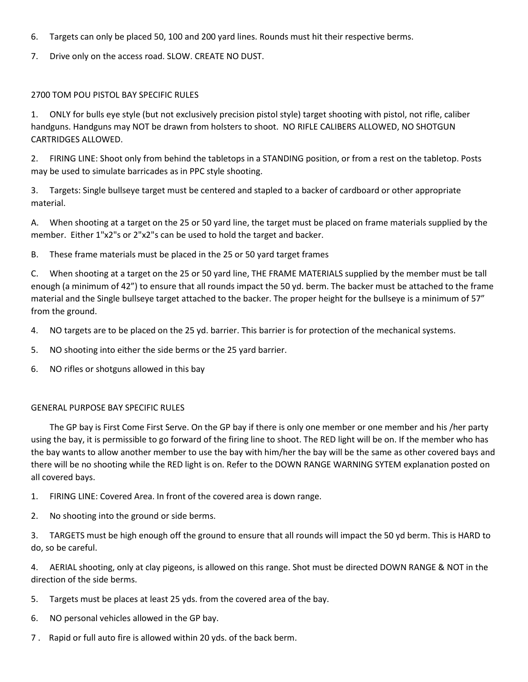- 6. Targets can only be placed 50, 100 and 200 yard lines. Rounds must hit their respective berms.
- 7. Drive only on the access road. SLOW. CREATE NO DUST.

## 2700 TOM POU PISTOL BAY SPECIFIC RULES

1. ONLY for bulls eye style (but not exclusively precision pistol style) target shooting with pistol, not rifle, caliber handguns. Handguns may NOT be drawn from holsters to shoot. NO RIFLE CALIBERS ALLOWED, NO SHOTGUN CARTRIDGES ALLOWED.

2. FIRING LINE: Shoot only from behind the tabletops in a STANDING position, or from a rest on the tabletop. Posts may be used to simulate barricades as in PPC style shooting.

3. Targets: Single bullseye target must be centered and stapled to a backer of cardboard or other appropriate material.

A. When shooting at a target on the 25 or 50 yard line, the target must be placed on frame materials supplied by the member. Either 1"x2"s or 2"x2"s can be used to hold the target and backer.

B. These frame materials must be placed in the 25 or 50 yard target frames

C. When shooting at a target on the 25 or 50 yard line, THE FRAME MATERIALS supplied by the member must be tall enough (a minimum of 42") to ensure that all rounds impact the 50 yd. berm. The backer must be attached to the frame material and the Single bullseye target attached to the backer. The proper height for the bullseye is a minimum of 57" from the ground.

- 4. NO targets are to be placed on the 25 yd. barrier. This barrier is for protection of the mechanical systems.
- 5. NO shooting into either the side berms or the 25 yard barrier.
- 6. NO rifles or shotguns allowed in this bay

## GENERAL PURPOSE BAY SPECIFIC RULES

The GP bay is First Come First Serve. On the GP bay if there is only one member or one member and his /her party using the bay, it is permissible to go forward of the firing line to shoot. The RED light will be on. If the member who has the bay wants to allow another member to use the bay with him/her the bay will be the same as other covered bays and there will be no shooting while the RED light is on. Refer to the DOWN RANGE WARNING SYTEM explanation posted on all covered bays.

1. FIRING LINE: Covered Area. In front of the covered area is down range.

2. No shooting into the ground or side berms.

3. TARGETS must be high enough off the ground to ensure that all rounds will impact the 50 yd berm. This is HARD to do, so be careful.

4. AERIAL shooting, only at clay pigeons, is allowed on this range. Shot must be directed DOWN RANGE & NOT in the direction of the side berms.

- 5. Targets must be places at least 25 yds. from the covered area of the bay.
- 6. NO personal vehicles allowed in the GP bay.
- 7 . Rapid or full auto fire is allowed within 20 yds. of the back berm.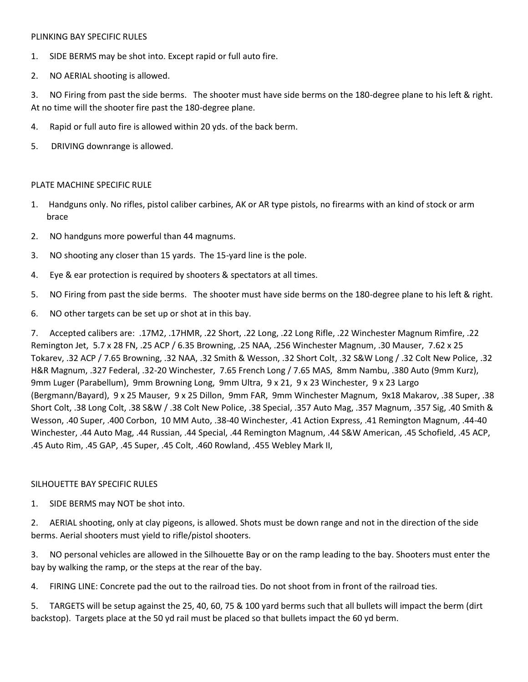#### PLINKING BAY SPECIFIC RULES

- 1. SIDE BERMS may be shot into. Except rapid or full auto fire.
- 2. NO AERIAL shooting is allowed.

3. NO Firing from past the side berms. The shooter must have side berms on the 180-degree plane to his left & right. At no time will the shooter fire past the 180-degree plane.

- 4. Rapid or full auto fire is allowed within 20 yds. of the back berm.
- 5. DRIVING downrange is allowed.

## PLATE MACHINE SPECIFIC RULE

- 1. Handguns only. No rifles, pistol caliber carbines, AK or AR type pistols, no firearms with an kind of stock or arm brace
- 2. NO handguns more powerful than 44 magnums.
- 3. NO shooting any closer than 15 yards. The 15-yard line is the pole.
- 4. Eye & ear protection is required by shooters & spectators at all times.
- 5. NO Firing from past the side berms. The shooter must have side berms on the 180-degree plane to his left & right.
- 6. NO other targets can be set up or shot at in this bay.

7. Accepted calibers are: .17M2, .17HMR, .22 Short, .22 Long, .22 Long Rifle, .22 Winchester Magnum Rimfire, .22 Remington Jet, 5.7 x 28 FN, .25 ACP / 6.35 Browning, .25 NAA, .256 Winchester Magnum, .30 Mauser, 7.62 x 25 Tokarev, .32 ACP / 7.65 Browning, .32 NAA, .32 Smith & Wesson, .32 Short Colt, .32 S&W Long / .32 Colt New Police, .32 H&R Magnum, .327 Federal, .32-20 Winchester, 7.65 French Long / 7.65 MAS, 8mm Nambu, .380 Auto (9mm Kurz), 9mm Luger (Parabellum), 9mm Browning Long, 9mm Ultra, 9 x 21, 9 x 23 Winchester, 9 x 23 Largo (Bergmann/Bayard), 9 x 25 Mauser, 9 x 25 Dillon, 9mm FAR, 9mm Winchester Magnum, 9x18 Makarov, .38 Super, .38 Short Colt, .38 Long Colt, .38 S&W / .38 Colt New Police, .38 Special, .357 Auto Mag, .357 Magnum, .357 Sig, .40 Smith & Wesson, .40 Super, .400 Corbon, 10 MM Auto, .38-40 Winchester, .41 Action Express, .41 Remington Magnum, .44-40 Winchester, .44 Auto Mag, .44 Russian, .44 Special, .44 Remington Magnum, .44 S&W American, .45 Schofield, .45 ACP, .45 Auto Rim, .45 GAP, .45 Super, .45 Colt, .460 Rowland, .455 Webley Mark II,

## SILHOUETTE BAY SPECIFIC RULES

1. SIDE BERMS may NOT be shot into.

2. AERIAL shooting, only at clay pigeons, is allowed. Shots must be down range and not in the direction of the side berms. Aerial shooters must yield to rifle/pistol shooters.

3. NO personal vehicles are allowed in the Silhouette Bay or on the ramp leading to the bay. Shooters must enter the bay by walking the ramp, or the steps at the rear of the bay.

4. FIRING LINE: Concrete pad the out to the railroad ties. Do not shoot from in front of the railroad ties.

5. TARGETS will be setup against the 25, 40, 60, 75 & 100 yard berms such that all bullets will impact the berm (dirt backstop). Targets place at the 50 yd rail must be placed so that bullets impact the 60 yd berm.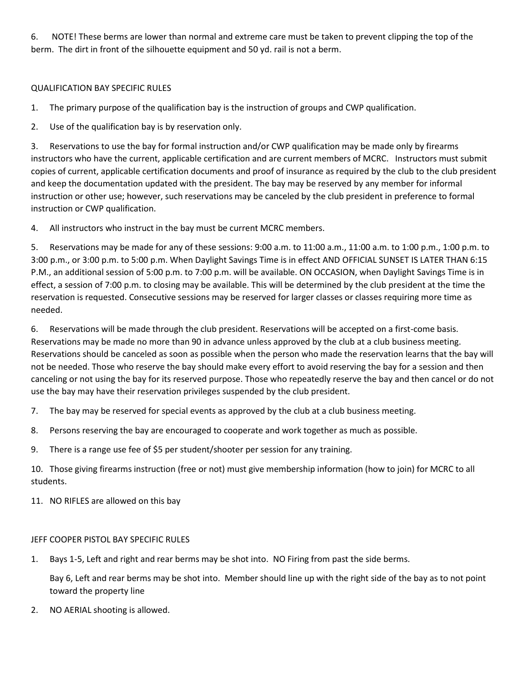6. NOTE! These berms are lower than normal and extreme care must be taken to prevent clipping the top of the berm. The dirt in front of the silhouette equipment and 50 yd. rail is not a berm.

# QUALIFICATION BAY SPECIFIC RULES

1. The primary purpose of the qualification bay is the instruction of groups and CWP qualification.

2. Use of the qualification bay is by reservation only.

3. Reservations to use the bay for formal instruction and/or CWP qualification may be made only by firearms instructors who have the current, applicable certification and are current members of MCRC. Instructors must submit copies of current, applicable certification documents and proof of insurance as required by the club to the club president and keep the documentation updated with the president. The bay may be reserved by any member for informal instruction or other use; however, such reservations may be canceled by the club president in preference to formal instruction or CWP qualification.

4. All instructors who instruct in the bay must be current MCRC members.

5. Reservations may be made for any of these sessions: 9:00 a.m. to 11:00 a.m., 11:00 a.m. to 1:00 p.m., 1:00 p.m. to 3:00 p.m., or 3:00 p.m. to 5:00 p.m. When Daylight Savings Time is in effect AND OFFICIAL SUNSET IS LATER THAN 6:15 P.M., an additional session of 5:00 p.m. to 7:00 p.m. will be available. ON OCCASION, when Daylight Savings Time is in effect, a session of 7:00 p.m. to closing may be available. This will be determined by the club president at the time the reservation is requested. Consecutive sessions may be reserved for larger classes or classes requiring more time as needed.

6. Reservations will be made through the club president. Reservations will be accepted on a first-come basis. Reservations may be made no more than 90 in advance unless approved by the club at a club business meeting. Reservations should be canceled as soon as possible when the person who made the reservation learns that the bay will not be needed. Those who reserve the bay should make every effort to avoid reserving the bay for a session and then canceling or not using the bay for its reserved purpose. Those who repeatedly reserve the bay and then cancel or do not use the bay may have their reservation privileges suspended by the club president.

7. The bay may be reserved for special events as approved by the club at a club business meeting.

8. Persons reserving the bay are encouraged to cooperate and work together as much as possible.

9. There is a range use fee of \$5 per student/shooter per session for any training.

10. Those giving firearms instruction (free or not) must give membership information (how to join) for MCRC to all students.

11. NO RIFLES are allowed on this bay

# JEFF COOPER PISTOL BAY SPECIFIC RULES

1. Bays 1-5, Left and right and rear berms may be shot into. NO Firing from past the side berms.

Bay 6, Left and rear berms may be shot into. Member should line up with the right side of the bay as to not point toward the property line

2. NO AERIAL shooting is allowed.